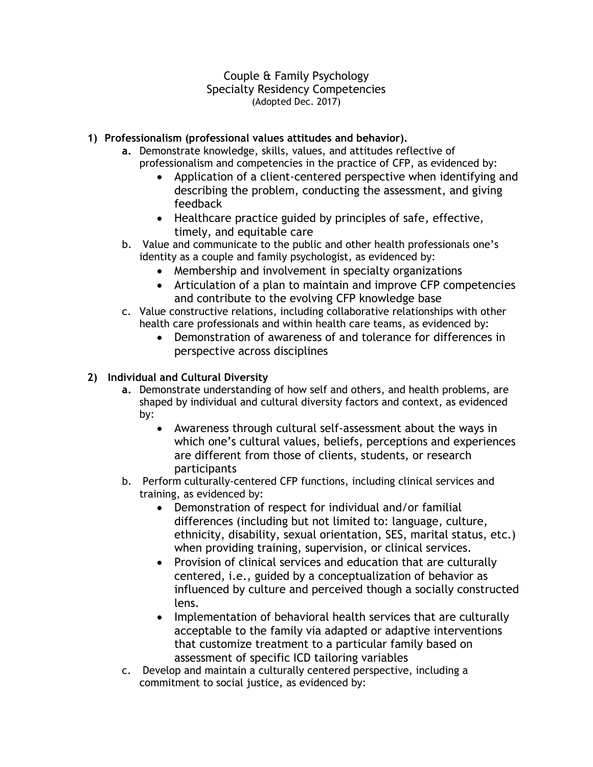Couple & Family Psychology Specialty Residency Competencies (Adopted Dec. 2017)

### **1) Professionalism (professional values attitudes and behavior).**

- **a.** Demonstrate knowledge, skills, values, and attitudes reflective of professionalism and competencies in the practice of CFP, as evidenced by:
	- Application of a client-centered perspective when identifying and describing the problem, conducting the assessment, and giving feedback
	- Healthcare practice guided by principles of safe*,* effective*,*  timely, and equitable care
- b. Value and communicate to the public and other health professionals one's identity as a couple and family psychologist, as evidenced by:
	- Membership and involvement in specialty organizations
	- Articulation of a plan to maintain and improve CFP competencies and contribute to the evolving CFP knowledge base
- c. Value constructive relations, including collaborative relationships with other health care professionals and within health care teams, as evidenced by:
	- Demonstration of awareness of and tolerance for differences in perspective across disciplines

## **2) Individual and Cultural Diversity**

- **a.** Demonstrate understanding of how self and others, and health problems, are shaped by individual and cultural diversity factors and context, as evidenced by:
	- Awareness through cultural self-assessment about the ways in which one's cultural values, beliefs, perceptions and experiences are different from those of clients, students, or research participants
- b. Perform culturally-centered CFP functions, including clinical services and training, as evidenced by:
	- Demonstration of respect for individual and/or familial differences (including but not limited to: language, culture, ethnicity, disability, sexual orientation, SES, marital status, etc.) when providing training, supervision, or clinical services.
	- Provision of clinical services and education that are culturally centered, i.e., guided by a conceptualization of behavior as influenced by culture and perceived though a socially constructed lens.
	- Implementation of behavioral health services that are culturally acceptable to the family via adapted or adaptive interventions that customize treatment to a particular family based on assessment of specific ICD tailoring variables
- c. Develop and maintain a culturally centered perspective, including a commitment to social justice, as evidenced by: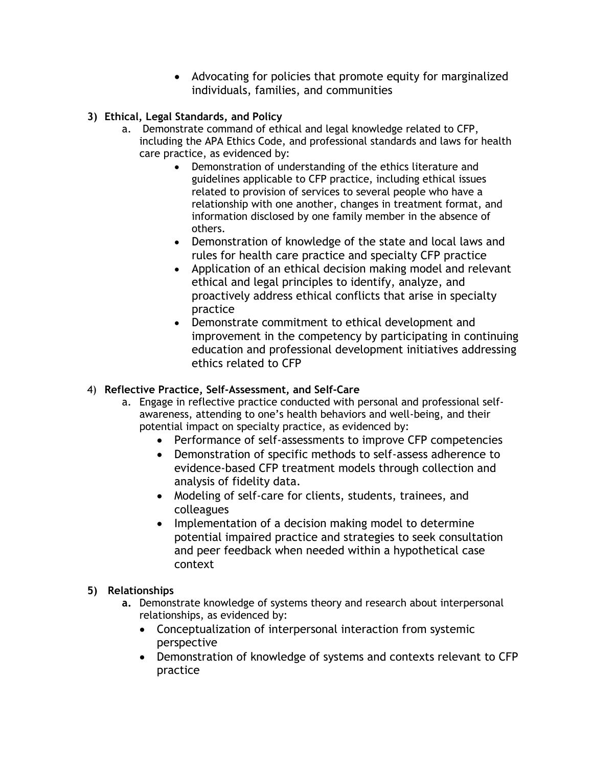Advocating for policies that promote equity for marginalized individuals, families, and communities

## **3) Ethical, Legal Standards, and Policy**

- a. Demonstrate command of ethical and legal knowledge related to CFP, including the APA Ethics Code, and professional standards and laws for health care practice, as evidenced by:
	- Demonstration of understanding of the ethics literature and guidelines applicable to CFP practice, including ethical issues related to provision of services to several people who have a relationship with one another, changes in treatment format, and information disclosed by one family member in the absence of others.
	- Demonstration of knowledge of the state and local laws and rules for health care practice and specialty CFP practice
	- Application of an ethical decision making model and relevant ethical and legal principles to identify, analyze, and proactively address ethical conflicts that arise in specialty practice
	- Demonstrate commitment to ethical development and improvement in the competency by participating in continuing education and professional development initiatives addressing ethics related to CFP

## 4) **Reflective Practice, Self-Assessment, and Self-Care**

- a. Engage in reflective practice conducted with personal and professional selfawareness, attending to one's health behaviors and well-being, and their potential impact on specialty practice, as evidenced by:
	- Performance of self-assessments to improve CFP competencies
	- Demonstration of specific methods to self-assess adherence to evidence-based CFP treatment models through collection and analysis of fidelity data.
	- Modeling of self-care for clients, students, trainees, and colleagues
	- Implementation of a decision making model to determine potential impaired practice and strategies to seek consultation and peer feedback when needed within a hypothetical case context

# **5) Relationships**

- **a.** Demonstrate knowledge of systems theory and research about interpersonal relationships, as evidenced by:
	- Conceptualization of interpersonal interaction from systemic perspective
	- Demonstration of knowledge of systems and contexts relevant to CFP practice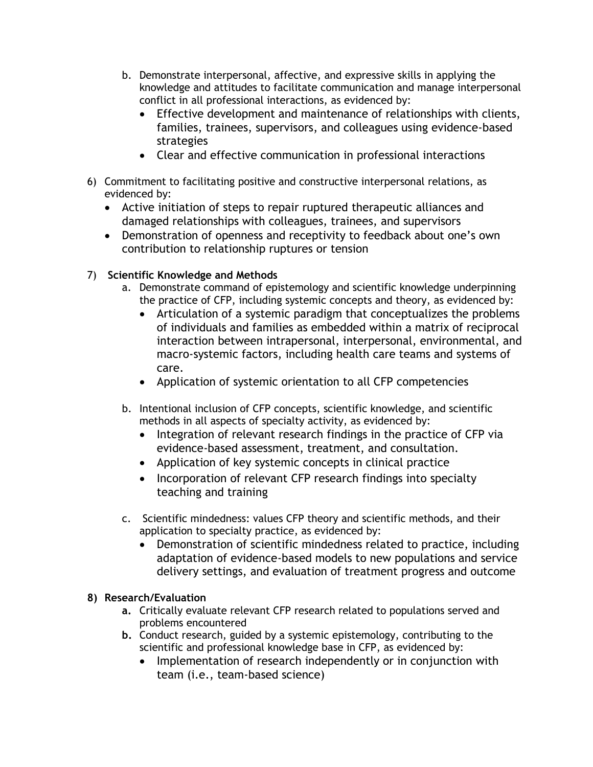- b. Demonstrate interpersonal, affective, and expressive skills in applying the knowledge and attitudes to facilitate communication and manage interpersonal conflict in all professional interactions, as evidenced by:
	- Effective development and maintenance of relationships with clients, families, trainees, supervisors, and colleagues using evidence-based strategies
	- Clear and effective communication in professional interactions
- 6) Commitment to facilitating positive and constructive interpersonal relations, as evidenced by:
	- Active initiation of steps to repair ruptured therapeutic alliances and damaged relationships with colleagues, trainees, and supervisors
	- Demonstration of openness and receptivity to feedback about one's own contribution to relationship ruptures or tension
- 7) **Scientific Knowledge and Methods**
	- a. Demonstrate command of epistemology and scientific knowledge underpinning the practice of CFP, including systemic concepts and theory, as evidenced by:
		- Articulation of a systemic paradigm that conceptualizes the problems of individuals and families as embedded within a matrix of reciprocal interaction between intrapersonal, interpersonal, environmental, and macro-systemic factors, including health care teams and systems of care.
		- Application of systemic orientation to all CFP competencies
	- b. Intentional inclusion of CFP concepts, scientific knowledge, and scientific methods in all aspects of specialty activity, as evidenced by:
		- Integration of relevant research findings in the practice of CFP via evidence-based assessment, treatment, and consultation.
		- Application of key systemic concepts in clinical practice
		- Incorporation of relevant CFP research findings into specialty teaching and training
	- c. Scientific mindedness: values CFP theory and scientific methods, and their application to specialty practice, as evidenced by:
		- Demonstration of scientific mindedness related to practice, including adaptation of evidence-based models to new populations and service delivery settings, and evaluation of treatment progress and outcome

### **8) Research/Evaluation**

- **a.** Critically evaluate relevant CFP research related to populations served and problems encountered
- **b.** Conduct research, guided by a systemic epistemology, contributing to the scientific and professional knowledge base in CFP, as evidenced by:
	- Implementation of research independently or in conjunction with team (i.e., team-based science)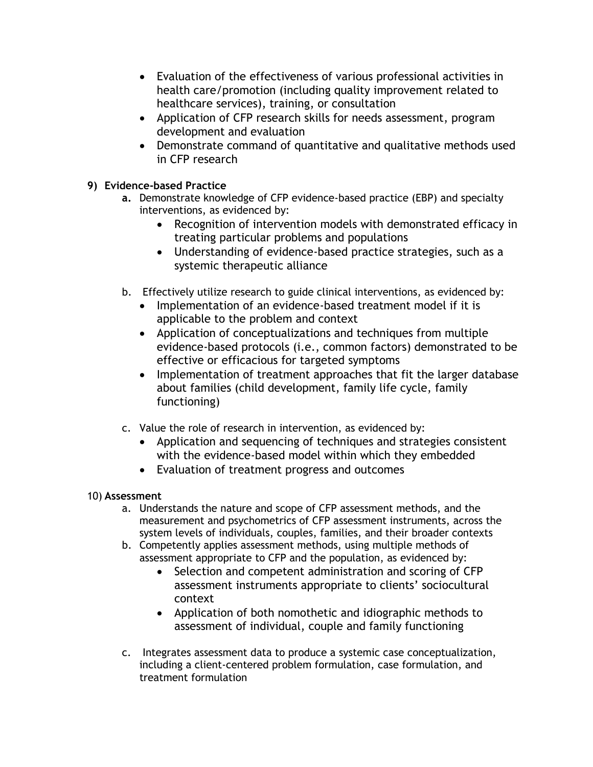- Evaluation of the effectiveness of various professional activities in health care/promotion (including quality improvement related to healthcare services), training, or consultation
- Application of CFP research skills for needs assessment, program development and evaluation
- Demonstrate command of quantitative and qualitative methods used in CFP research

## **9) Evidence-based Practice**

- **a.** Demonstrate knowledge of CFP evidence-based practice (EBP) and specialty interventions, as evidenced by:
	- Recognition of intervention models with demonstrated efficacy in treating particular problems and populations
	- Understanding of evidence-based practice strategies, such as a systemic therapeutic alliance
- b. Effectively utilize research to guide clinical interventions, as evidenced by:
	- Implementation of an evidence-based treatment model if it is applicable to the problem and context
	- Application of conceptualizations and techniques from multiple evidence-based protocols (i.e., common factors) demonstrated to be effective or efficacious for targeted symptoms
	- Implementation of treatment approaches that fit the larger database about families (child development, family life cycle, family functioning)
- c. Value the role of research in intervention, as evidenced by:
	- Application and sequencing of techniques and strategies consistent with the evidence-based model within which they embedded
	- Evaluation of treatment progress and outcomes

# 10) **Assessment**

- a. Understands the nature and scope of CFP assessment methods, and the measurement and psychometrics of CFP assessment instruments, across the system levels of individuals, couples, families, and their broader contexts
- b. Competently applies assessment methods, using multiple methods of assessment appropriate to CFP and the population, as evidenced by:
	- Selection and competent administration and scoring of CFP assessment instruments appropriate to clients' sociocultural context
	- Application of both nomothetic and idiographic methods to assessment of individual, couple and family functioning
- c. Integrates assessment data to produce a systemic case conceptualization, including a client-centered problem formulation, case formulation, and treatment formulation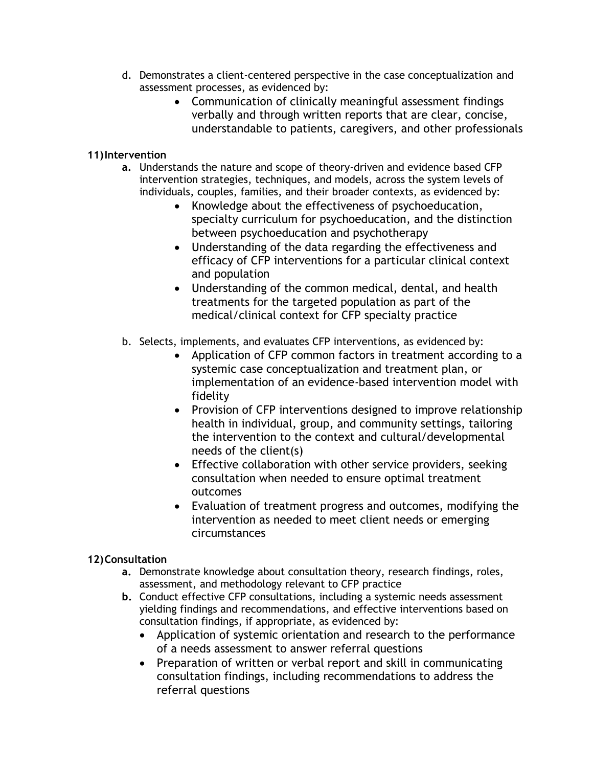- d. Demonstrates a client-centered perspective in the case conceptualization and assessment processes, as evidenced by:
	- Communication of clinically meaningful assessment findings verbally and through written reports that are clear, concise, understandable to patients, caregivers, and other professionals

### **11)Intervention**

- **a.** Understands the nature and scope of theory-driven and evidence based CFP intervention strategies, techniques, and models, across the system levels of individuals, couples, families, and their broader contexts, as evidenced by:
	- Knowledge about the effectiveness of psychoeducation, specialty curriculum for psychoeducation, and the distinction between psychoeducation and psychotherapy
	- Understanding of the data regarding the effectiveness and efficacy of CFP interventions for a particular clinical context and population
	- Understanding of the common medical, dental, and health treatments for the targeted population as part of the medical/clinical context for CFP specialty practice
- b. Selects, implements, and evaluates CFP interventions, as evidenced by:
	- Application of CFP common factors in treatment according to a systemic case conceptualization and treatment plan, or implementation of an evidence-based intervention model with fidelity
	- Provision of CFP interventions designed to improve relationship health in individual, group, and community settings, tailoring the intervention to the context and cultural/developmental needs of the client(s)
	- Effective collaboration with other service providers, seeking consultation when needed to ensure optimal treatment outcomes
	- Evaluation of treatment progress and outcomes, modifying the intervention as needed to meet client needs or emerging circumstances

# **12)Consultation**

- **a.** Demonstrate knowledge about consultation theory, research findings, roles, assessment, and methodology relevant to CFP practice
- **b.** Conduct effective CFP consultations, including a systemic needs assessment yielding findings and recommendations, and effective interventions based on consultation findings, if appropriate, as evidenced by:
	- Application of systemic orientation and research to the performance of a needs assessment to answer referral questions
	- Preparation of written or verbal report and skill in communicating consultation findings, including recommendations to address the referral questions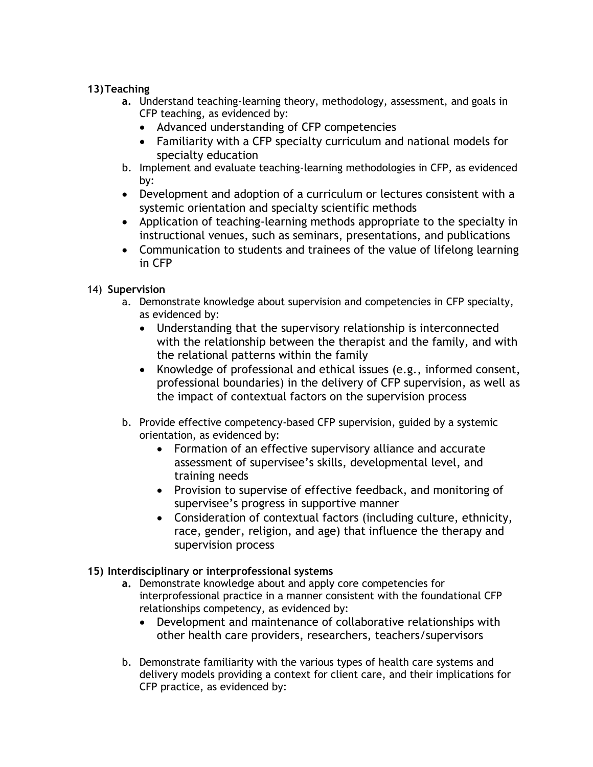### **13)Teaching**

- **a.** Understand teaching-learning theory, methodology, assessment, and goals in CFP teaching, as evidenced by:
	- Advanced understanding of CFP competencies
	- Familiarity with a CFP specialty curriculum and national models for specialty education
- b. Implement and evaluate teaching-learning methodologies in CFP, as evidenced by:
- Development and adoption of a curriculum or lectures consistent with a systemic orientation and specialty scientific methods
- Application of teaching-learning methods appropriate to the specialty in instructional venues, such as seminars, presentations, and publications
- Communication to students and trainees of the value of lifelong learning in CFP

## 14) **Supervision**

- a. Demonstrate knowledge about supervision and competencies in CFP specialty, as evidenced by:
	- Understanding that the supervisory relationship is interconnected with the relationship between the therapist and the family, and with the relational patterns within the family
	- Knowledge of professional and ethical issues (e.g., informed consent, professional boundaries) in the delivery of CFP supervision, as well as the impact of contextual factors on the supervision process
- b. Provide effective competency-based CFP supervision, guided by a systemic orientation, as evidenced by:
	- Formation of an effective supervisory alliance and accurate assessment of supervisee's skills, developmental level, and training needs
	- Provision to supervise of effective feedback, and monitoring of supervisee's progress in supportive manner
	- Consideration of contextual factors (including culture, ethnicity, race, gender, religion, and age) that influence the therapy and supervision process

# **15) Interdisciplinary or interprofessional systems**

- **a.** Demonstrate knowledge about and apply core competencies for interprofessional practice in a manner consistent with the foundational CFP relationships competency, as evidenced by:
	- Development and maintenance of collaborative relationships with other health care providers, researchers, teachers/supervisors
- b. Demonstrate familiarity with the various types of health care systems and delivery models providing a context for client care, and their implications for CFP practice, as evidenced by: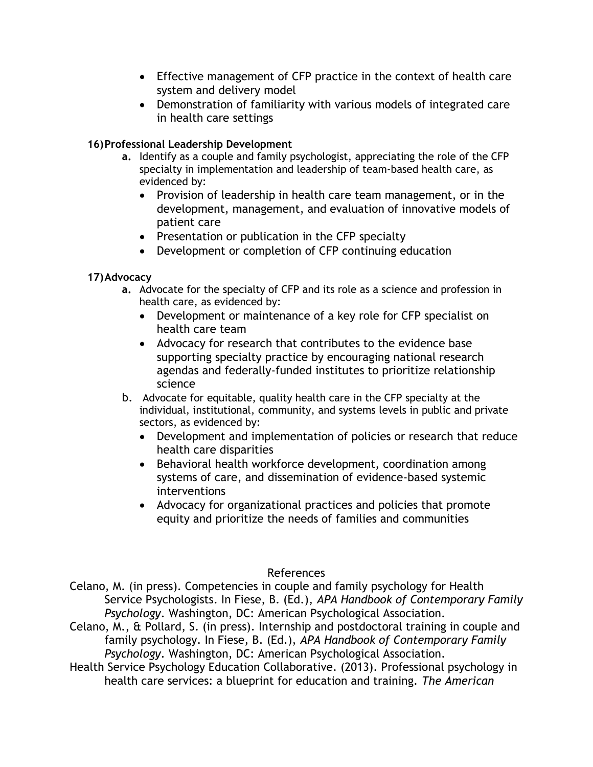- Effective management of CFP practice in the context of health care system and delivery model
- Demonstration of familiarity with various models of integrated care in health care settings

### **16)Professional Leadership Development**

- **a.** Identify as a couple and family psychologist, appreciating the role of the CFP specialty in implementation and leadership of team-based health care, as evidenced by:
	- Provision of leadership in health care team management, or in the development, management, and evaluation of innovative models of patient care
	- Presentation or publication in the CFP specialty
	- Development or completion of CFP continuing education

### **17)Advocacy**

- **a.** Advocate for the specialty of CFP and its role as a science and profession in health care, as evidenced by:
	- Development or maintenance of a key role for CFP specialist on health care team
	- Advocacy for research that contributes to the evidence base supporting specialty practice by encouraging national research agendas and federally-funded institutes to prioritize relationship science
- b. Advocate for equitable, quality health care in the CFP specialty at the individual, institutional, community, and systems levels in public and private sectors, as evidenced by:
	- Development and implementation of policies or research that reduce health care disparities
	- Behavioral health workforce development, coordination among systems of care, and dissemination of evidence-based systemic interventions
	- Advocacy for organizational practices and policies that promote equity and prioritize the needs of families and communities

### References

Celano, M. (in press). Competencies in couple and family psychology for Health Service Psychologists. In Fiese, B. (Ed.), *APA Handbook of Contemporary Family Psychology*. Washington, DC: American Psychological Association.

- Celano, M., & Pollard, S. (in press). Internship and postdoctoral training in couple and family psychology. In Fiese, B. (Ed.), *APA Handbook of Contemporary Family Psychology*. Washington, DC: American Psychological Association.
- Health Service Psychology Education Collaborative. (2013). Professional psychology in health care services: a blueprint for education and training. *The American*